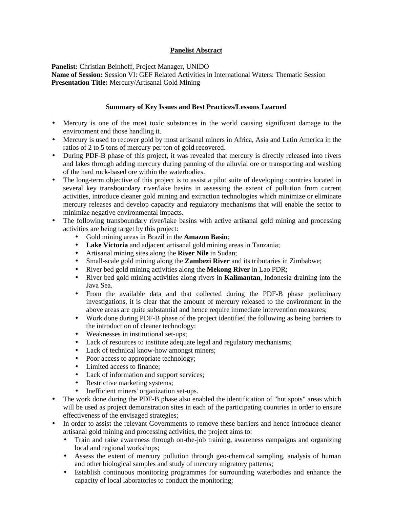## **Panelist Abstract**

**Panelist:** Christian Beinhoff, Project Manager, UNIDO **Name of Session:** Session VI: GEF Related Activities in International Waters: Thematic Session **Presentation Title:** Mercury/Artisanal Gold Mining

## **Summary of Key Issues and Best Practices/Lessons Learned**

- Mercury is one of the most toxic substances in the world causing significant damage to the environment and those handling it.
- Mercury is used to recover gold by most artisanal miners in Africa, Asia and Latin America in the ratios of 2 to 5 tons of mercury per ton of gold recovered.
- During PDF-B phase of this project, it was revealed that mercury is directly released into rivers and lakes through adding mercury during panning of the alluvial ore or transporting and washing of the hard rock-based ore within the waterbodies.
- The long-term objective of this project is to assist a pilot suite of developing countries located in several key transboundary river/lake basins in assessing the extent of pollution from current activities, introduce cleaner gold mining and extraction technologies which minimize or eliminate mercury releases and develop capacity and regulatory mechanisms that will enable the sector to minimize negative environmental impacts.
- The following transboundary river/lake basins with active artisanal gold mining and processing activities are being target by this project:
	- Gold mining areas in Brazil in the **Amazon Basin**;
	- Lake Victoria and adjacent artisanal gold mining areas in Tanzania;
	- Artisanal mining sites along the **River Nile** in Sudan;
	- Small-scale gold mining along the **Zambezi River** and its tributaries in Zimbabwe;
	- River bed gold mining activities along the **Mekong River** in Lao PDR;
	- River bed gold mining activities along rivers in **Kalimantan**, Indonesia draining into the Java Sea.
	- From the available data and that collected during the PDF-B phase preliminary investigations, it is clear that the amount of mercury released to the environment in the above areas are quite substantial and hence require immediate intervention measures;
	- Work done during PDF-B phase of the project identified the following as being barriers to the introduction of cleaner technology:
	- Weaknesses in institutional set-ups;
	- Lack of resources to institute adequate legal and regulatory mechanisms;
	- Lack of technical know-how amongst miners;
	- Poor access to appropriate technology;
	- Limited access to finance;
	- Lack of information and support services;
	- Restrictive marketing systems;
	- Inefficient miners' organization set-ups.
- The work done during the PDF-B phase also enabled the identification of "hot spots" areas which will be used as project demonstration sites in each of the participating countries in order to ensure effectiveness of the envisaged strategies;
- In order to assist the relevant Governments to remove these barriers and hence introduce cleaner artisanal gold mining and processing activities, the project aims to:
	- Train and raise awareness through on-the-job training, awareness campaigns and organizing local and regional workshops;
	- Assess the extent of mercury pollution through geo-chemical sampling, analysis of human and other biological samples and study of mercury migratory patterns;
	- Establish continuous monitoring programmes for surrounding waterbodies and enhance the capacity of local laboratories to conduct the monitoring;